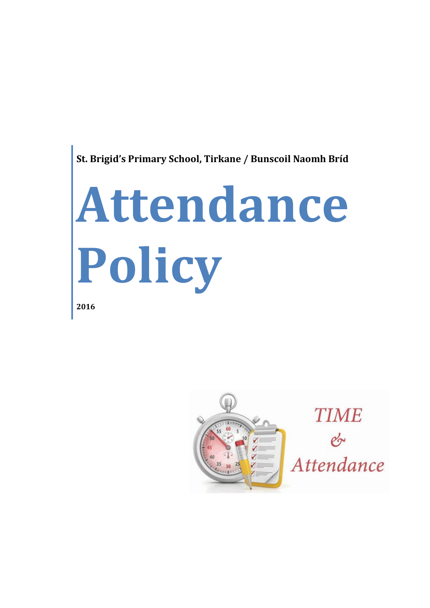

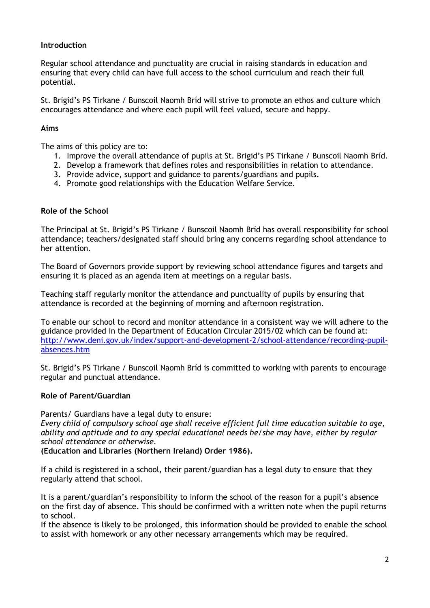#### **Introduction**

Regular school attendance and punctuality are crucial in raising standards in education and ensuring that every child can have full access to the school curriculum and reach their full potential.

St. Brigid's PS Tirkane / Bunscoil Naomh Bríd will strive to promote an ethos and culture which encourages attendance and where each pupil will feel valued, secure and happy.

#### **Aims**

The aims of this policy are to:

- 1. Improve the overall attendance of pupils at St. Brigid's PS Tirkane / Bunscoil Naomh Bríd.
- 2. Develop a framework that defines roles and responsibilities in relation to attendance.
- 3. Provide advice, support and guidance to parents/guardians and pupils.
- 4. Promote good relationships with the Education Welfare Service.

#### **Role of the School**

The Principal at St. Brigid's PS Tirkane / Bunscoil Naomh Bríd has overall responsibility for school attendance; teachers/designated staff should bring any concerns regarding school attendance to her attention.

The Board of Governors provide support by reviewing school attendance figures and targets and ensuring it is placed as an agenda item at meetings on a regular basis.

Teaching staff regularly monitor the attendance and punctuality of pupils by ensuring that attendance is recorded at the beginning of morning and afternoon registration.

To enable our school to record and monitor attendance in a consistent way we will adhere to the guidance provided in the Department of Education Circular 2015/02 which can be found at: [http://www.deni.gov.uk/index/support-and-development-2/school-attendance/recording-pupil](http://www.deni.gov.uk/index/support-and-development-2/school-attendance/recording-pupil-absences.htm)[absences.htm](http://www.deni.gov.uk/index/support-and-development-2/school-attendance/recording-pupil-absences.htm)

St. Brigid's PS Tirkane / Bunscoil Naomh Bríd is committed to working with parents to encourage regular and punctual attendance.

#### **Role of Parent/Guardian**

Parents/ Guardians have a legal duty to ensure:

*Every child of compulsory school age shall receive efficient full time education suitable to age, ability and aptitude and to any special educational needs he/she may have, either by regular school attendance or otherwise.*

**(Education and Libraries (Northern Ireland) Order 1986).**

If a child is registered in a school, their parent/guardian has a legal duty to ensure that they regularly attend that school.

It is a parent/guardian's responsibility to inform the school of the reason for a pupil's absence on the first day of absence. This should be confirmed with a written note when the pupil returns to school.

If the absence is likely to be prolonged, this information should be provided to enable the school to assist with homework or any other necessary arrangements which may be required.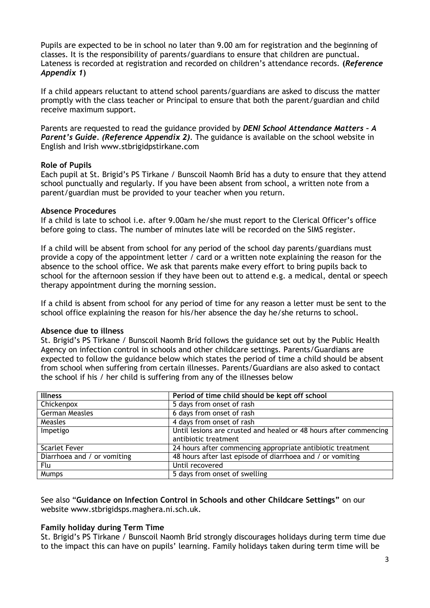Pupils are expected to be in school no later than 9.00 am for registration and the beginning of classes. It is the responsibility of parents/guardians to ensure that children are punctual. Lateness is recorded at registration and recorded on children's attendance records. **(***Reference Appendix 1***)**

If a child appears reluctant to attend school parents/guardians are asked to discuss the matter promptly with the class teacher or Principal to ensure that both the parent/guardian and child receive maximum support.

Parents are requested to read the guidance provided by *DENI School Attendance Matters – A Parent's Guide. (Reference Appendix 2)*. The guidance is available on the school website in English and Irish www.stbrigidpstirkane.com

#### **Role of Pupils**

Each pupil at St. Brigid's PS Tirkane / Bunscoil Naomh Bríd has a duty to ensure that they attend school punctually and regularly. If you have been absent from school, a written note from a parent/guardian must be provided to your teacher when you return.

#### **Absence Procedures**

If a child is late to school i.e. after 9.00am he/she must report to the Clerical Officer's office before going to class. The number of minutes late will be recorded on the SIMS register.

If a child will be absent from school for any period of the school day parents/guardians must provide a copy of the appointment letter / card or a written note explaining the reason for the absence to the school office. We ask that parents make every effort to bring pupils back to school for the afternoon session if they have been out to attend e.g. a medical, dental or speech therapy appointment during the morning session.

If a child is absent from school for any period of time for any reason a letter must be sent to the school office explaining the reason for his/her absence the day he/she returns to school.

#### **Absence due to illness**

St. Brigid's PS Tirkane / Bunscoil Naomh Bríd follows the guidance set out by the Public Health Agency on infection control in schools and other childcare settings. Parents/Guardians are expected to follow the guidance below which states the period of time a child should be absent from school when suffering from certain illnesses. Parents/Guardians are also asked to contact the school if his / her child is suffering from any of the illnesses below

| <b>Illness</b>              | Period of time child should be kept off school                    |
|-----------------------------|-------------------------------------------------------------------|
| Chickenpox                  | 5 days from onset of rash                                         |
| <b>German Measles</b>       | 6 days from onset of rash                                         |
| Measles                     | 4 days from onset of rash                                         |
| Impetigo                    | Until lesions are crusted and healed or 48 hours after commencing |
|                             | antibiotic treatment                                              |
| <b>Scarlet Fever</b>        | 24 hours after commencing appropriate antibiotic treatment        |
| Diarrhoea and / or vomiting | 48 hours after last episode of diarrhoea and / or vomiting        |
| Flu                         | Until recovered                                                   |
| Mumps                       | 5 days from onset of swelling                                     |

See also "**Guidance on Infection Control in Schools and other Childcare Settings"** on our website www.stbrigidsps.maghera.ni.sch.uk.

#### **Family holiday during Term Time**

St. Brigid's PS Tirkane / Bunscoil Naomh Bríd strongly discourages holidays during term time due to the impact this can have on pupils' learning. Family holidays taken during term time will be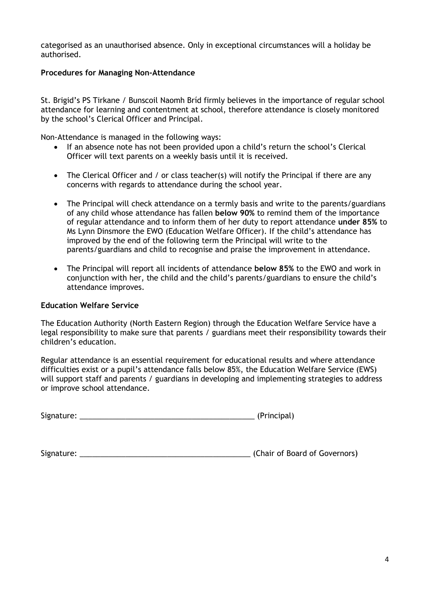categorised as an unauthorised absence. Only in exceptional circumstances will a holiday be authorised.

#### **Procedures for Managing Non-Attendance**

St. Brigid's PS Tirkane / Bunscoil Naomh Bríd firmly believes in the importance of regular school attendance for learning and contentment at school, therefore attendance is closely monitored by the school's Clerical Officer and Principal.

Non-Attendance is managed in the following ways:

- If an absence note has not been provided upon a child's return the school's Clerical Officer will text parents on a weekly basis until it is received.
- The Clerical Officer and / or class teacher(s) will notify the Principal if there are any concerns with regards to attendance during the school year.
- The Principal will check attendance on a termly basis and write to the parents/guardians of any child whose attendance has fallen **below 90%** to remind them of the importance of regular attendance and to inform them of her duty to report attendance **under 85%** to Ms Lynn Dinsmore the EWO (Education Welfare Officer). If the child's attendance has improved by the end of the following term the Principal will write to the parents/guardians and child to recognise and praise the improvement in attendance.
- The Principal will report all incidents of attendance **below 85%** to the EWO and work in conjunction with her, the child and the child's parents/guardians to ensure the child's attendance improves.

#### **Education Welfare Service**

The Education Authority (North Eastern Region) through the Education Welfare Service have a legal responsibility to make sure that parents / guardians meet their responsibility towards their children's education.

Regular attendance is an essential requirement for educational results and where attendance difficulties exist or a pupil's attendance falls below 85%, the Education Welfare Service (EWS) will support staff and parents / guardians in developing and implementing strategies to address or improve school attendance.

Signature: \_\_\_\_\_\_\_\_\_\_\_\_\_\_\_\_\_\_\_\_\_\_\_\_\_\_\_\_\_\_\_\_\_\_\_\_\_\_\_\_\_\_ (Principal)

Signature: \_\_\_\_\_\_\_\_\_\_\_\_\_\_\_\_\_\_\_\_\_\_\_\_\_\_\_\_\_\_\_\_\_\_\_\_\_\_\_\_\_ (Chair of Board of Governors)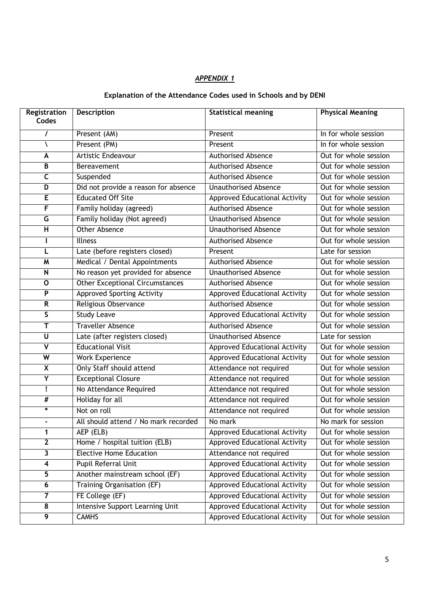## *APPENDIX 1*

### **Explanation of the Attendance Codes used in Schools and by DENI**

| Registration            | <b>Description</b>                     | <b>Statistical meaning</b>           | <b>Physical Meaning</b> |
|-------------------------|----------------------------------------|--------------------------------------|-------------------------|
| Codes                   |                                        |                                      |                         |
| I                       | Present (AM)                           | Present                              | In for whole session    |
| ∖                       | Present (PM)                           | Present                              | In for whole session    |
| A                       | Artistic Endeavour                     | <b>Authorised Absence</b>            | Out for whole session   |
| B                       | Bereavement                            | <b>Authorised Absence</b>            | Out for whole session   |
| $\overline{\mathsf{C}}$ | Suspended                              | <b>Authorised Absence</b>            | Out for whole session   |
| $\overline{\mathsf{D}}$ | Did not provide a reason for absence   | <b>Unauthorised Absence</b>          | Out for whole session   |
| $\overline{E}$          | <b>Educated Off Site</b>               | <b>Approved Educational Activity</b> | Out for whole session   |
| F                       | Family holiday (agreed)                | <b>Authorised Absence</b>            | Out for whole session   |
| G                       | Family holiday (Not agreed)            | <b>Unauthorised Absence</b>          | Out for whole session   |
| $\overline{\mathsf{H}}$ | Other Absence                          | <b>Unauthorised Absence</b>          | Out for whole session   |
| L                       | <b>Illness</b>                         | <b>Authorised Absence</b>            | Out for whole session   |
| L                       | Late (before registers closed)         | Present                              | Late for session        |
| M                       | Medical / Dental Appointments          | <b>Authorised Absence</b>            | Out for whole session   |
| ${\sf N}$               | No reason yet provided for absence     | <b>Unauthorised Absence</b>          | Out for whole session   |
| 0                       | <b>Other Exceptional Circumstances</b> | <b>Authorised Absence</b>            | Out for whole session   |
| $\overline{P}$          | <b>Approved Sporting Activity</b>      | Approved Educational Activity        | Out for whole session   |
| R                       | Religious Observance                   | <b>Authorised Absence</b>            | Out for whole session   |
| $\overline{\mathsf{s}}$ | <b>Study Leave</b>                     | <b>Approved Educational Activity</b> | Out for whole session   |
| T                       | <b>Traveller Absence</b>               | <b>Authorised Absence</b>            | Out for whole session   |
| $\overline{\mathtt{U}}$ | Late (after registers closed)          | <b>Unauthorised Absence</b>          | Late for session        |
| $\overline{\mathsf{v}}$ | <b>Educational Visit</b>               | Approved Educational Activity        | Out for whole session   |
| $\overline{\mathsf{w}}$ | <b>Work Experience</b>                 | <b>Approved Educational Activity</b> | Out for whole session   |
| $\overline{\mathsf{x}}$ | Only Staff should attend               | Attendance not required              | Out for whole session   |
| Ÿ                       | <b>Exceptional Closure</b>             | Attendance not required              | Out for whole session   |
| Ţ                       | No Attendance Required                 | Attendance not required              | Out for whole session   |
| $_{\#}$                 | Holiday for all                        | Attendance not required              | Out for whole session   |
| $\ast$                  | Not on roll                            | Attendance not required              | Out for whole session   |
| $\overline{a}$          | All should attend / No mark recorded   | No mark                              | No mark for session     |
| 1                       | AEP (ELB)                              | <b>Approved Educational Activity</b> | Out for whole session   |
| $\overline{2}$          | Home / hospital tuition (ELB)          | <b>Approved Educational Activity</b> | Out for whole session   |
| $\overline{\mathbf{3}}$ | <b>Elective Home Education</b>         | Attendance not required              | Out for whole session   |
| $\overline{4}$          | <b>Pupil Referral Unit</b>             | <b>Approved Educational Activity</b> | Out for whole session   |
| $\overline{5}$          | Another mainstream school (EF)         | <b>Approved Educational Activity</b> | Out for whole session   |
| $\boldsymbol{6}$        | <b>Training Organisation (EF)</b>      | <b>Approved Educational Activity</b> | Out for whole session   |
|                         | FE College (EF)                        | <b>Approved Educational Activity</b> | Out for whole session   |
| $\overline{\mathbf{8}}$ | <b>Intensive Support Learning Unit</b> | <b>Approved Educational Activity</b> | Out for whole session   |
| 9                       | <b>CAMHS</b>                           | <b>Approved Educational Activity</b> | Out for whole session   |